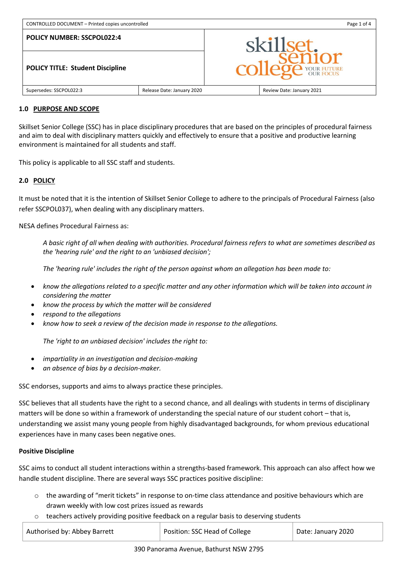| CONTROLLED DOCUMENT - Printed copies uncontrolled |                            | Page 1 of 4                             |                           |
|---------------------------------------------------|----------------------------|-----------------------------------------|---------------------------|
| <b>POLICY NUMBER: SSCPOL022:4</b>                 |                            | skillset.<br><b>college</b> YOUR FUTURE |                           |
| <b>POLICY TITLE: Student Discipline</b>           |                            |                                         |                           |
| Supersedes: SSCPOL022:3                           | Release Date: January 2020 |                                         | Review Date: January 2021 |

#### **1.0 PURPOSE AND SCOPE**

Skillset Senior College (SSC) has in place disciplinary procedures that are based on the principles of procedural fairness and aim to deal with disciplinary matters quickly and effectively to ensure that a positive and productive learning environment is maintained for all students and staff.

This policy is applicable to all SSC staff and students.

# **2.0 POLICY**

It must be noted that it is the intention of Skillset Senior College to adhere to the principals of Procedural Fairness (also refer SSCPOL037), when dealing with any disciplinary matters.

NESA defines Procedural Fairness as:

*A basic right of all when dealing with authorities. Procedural fairness refers to what are sometimes described as the 'hearing rule' and the right to an 'unbiased decision';* 

*The 'hearing rule' includes the right of the person against whom an allegation has been made to:*

- *know the allegations related to a specific matter and any other information which will be taken into account in considering the matter*
- *know the process by which the matter will be considered*
- *respond to the allegations*
- *know how to seek a review of the decision made in response to the allegations.*

*The 'right to an unbiased decision' includes the right to:*

- *impartiality in an investigation and decision-making*
- *an absence of bias by a decision-maker.*

SSC endorses, supports and aims to always practice these principles.

SSC believes that all students have the right to a second chance, and all dealings with students in terms of disciplinary matters will be done so within a framework of understanding the special nature of our student cohort – that is, understanding we assist many young people from highly disadvantaged backgrounds, for whom previous educational experiences have in many cases been negative ones.

#### **Positive Discipline**

SSC aims to conduct all student interactions within a strengths-based framework. This approach can also affect how we handle student discipline. There are several ways SSC practices positive discipline:

- o the awarding of "merit tickets" in response to on-time class attendance and positive behaviours which are drawn weekly with low cost prizes issued as rewards
- $\circ$  teachers actively providing positive feedback on a regular basis to deserving students

| Authorised by: Abbey Barrett | Position: SSC Head of College | Date: January 2020 |
|------------------------------|-------------------------------|--------------------|
|                              |                               |                    |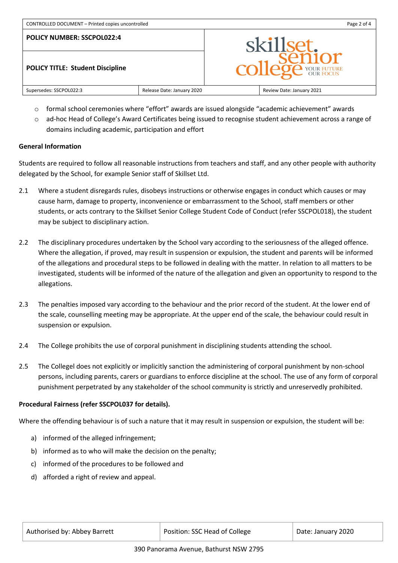

- $\circ$  formal school ceremonies where "effort" awards are issued alongside "academic achievement" awards
- o ad-hoc Head of College's Award Certificates being issued to recognise student achievement across a range of domains including academic, participation and effort

### **General Information**

Students are required to follow all reasonable instructions from teachers and staff, and any other people with authority delegated by the School, for example Senior staff of Skillset Ltd.

- 2.1 Where a student disregards rules, disobeys instructions or otherwise engages in conduct which causes or may cause harm, damage to property, inconvenience or embarrassment to the School, staff members or other students, or acts contrary to the Skillset Senior College Student Code of Conduct (refer SSCPOL018), the student may be subject to disciplinary action.
- 2.2 The disciplinary procedures undertaken by the School vary according to the seriousness of the alleged offence. Where the allegation, if proved, may result in suspension or expulsion, the student and parents will be informed of the allegations and procedural steps to be followed in dealing with the matter. In relation to all matters to be investigated, students will be informed of the nature of the allegation and given an opportunity to respond to the allegations.
- 2.3 The penalties imposed vary according to the behaviour and the prior record of the student. At the lower end of the scale, counselling meeting may be appropriate. At the upper end of the scale, the behaviour could result in suspension or expulsion.
- 2.4 The College prohibits the use of corporal punishment in disciplining students attending the school.
- 2.5 The Collegel does not explicitly or implicitly sanction the administering of corporal punishment by non-school persons, including parents, carers or guardians to enforce discipline at the school. The use of any form of corporal punishment perpetrated by any stakeholder of the school community is strictly and unreservedly prohibited.

## **Procedural Fairness (refer SSCPOL037 for details).**

Where the offending behaviour is of such a nature that it may result in suspension or expulsion, the student will be:

- a) informed of the alleged infringement;
- b) informed as to who will make the decision on the penalty;
- c) informed of the procedures to be followed and
- d) afforded a right of review and appeal.

| Authorised by: Abbey Barrett | Position: SSC Head of College | Date: January 2020 |
|------------------------------|-------------------------------|--------------------|
|------------------------------|-------------------------------|--------------------|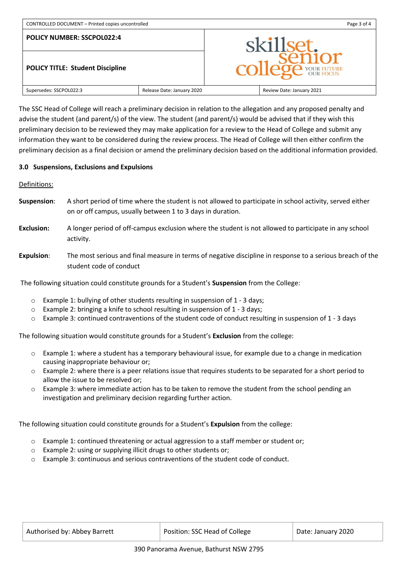| CONTROLLED DOCUMENT - Printed copies uncontrolled |                            | Page 3 of 4           |                           |
|---------------------------------------------------|----------------------------|-----------------------|---------------------------|
| <b>POLICY NUMBER: SSCPOL022:4</b>                 |                            |                       | skillset.                 |
| <b>POLICY TITLE: Student Discipline</b>           |                            | <b>DE YOUR FUTURE</b> |                           |
| Supersedes: SSCPOL022:3                           | Release Date: January 2020 |                       | Review Date: January 2021 |

The SSC Head of College will reach a preliminary decision in relation to the allegation and any proposed penalty and advise the student (and parent/s) of the view. The student (and parent/s) would be advised that if they wish this preliminary decision to be reviewed they may make application for a review to the Head of College and submit any information they want to be considered during the review process. The Head of College will then either confirm the preliminary decision as a final decision or amend the preliminary decision based on the additional information provided.

### **3.0 Suspensions, Exclusions and Expulsions**

Definitions:

- **Suspension**: A short period of time where the student is not allowed to participate in school activity, served either on or off campus, usually between 1 to 3 days in duration.
- **Exclusion:** A longer period of off-campus exclusion where the student is not allowed to participate in any school activity.
- **Expulsion**: The most serious and final measure in terms of negative discipline in response to a serious breach of the student code of conduct

The following situation could constitute grounds for a Student's **Suspension** from the College:

- o Example 1: bullying of other students resulting in suspension of 1 3 days;
- o Example 2: bringing a knife to school resulting in suspension of 1 3 days;
- o Example 3: continued contraventions of the student code of conduct resulting in suspension of 1 3 days

The following situation would constitute grounds for a Student's **Exclusion** from the college:

- o Example 1: where a student has a temporary behavioural issue, for example due to a change in medication causing inappropriate behaviour or;
- $\circ$  Example 2: where there is a peer relations issue that requires students to be separated for a short period to allow the issue to be resolved or;
- o Example 3: where immediate action has to be taken to remove the student from the school pending an investigation and preliminary decision regarding further action.

The following situation could constitute grounds for a Student's **Expulsion** from the college:

- o Example 1: continued threatening or actual aggression to a staff member or student or;
- o Example 2: using or supplying illicit drugs to other students or;
- $\circ$  Example 3: continuous and serious contraventions of the student code of conduct.

| Authorised by: Abbey Barrett | Position: SSC Head of College | Date: January 2020 |
|------------------------------|-------------------------------|--------------------|
|                              |                               |                    |